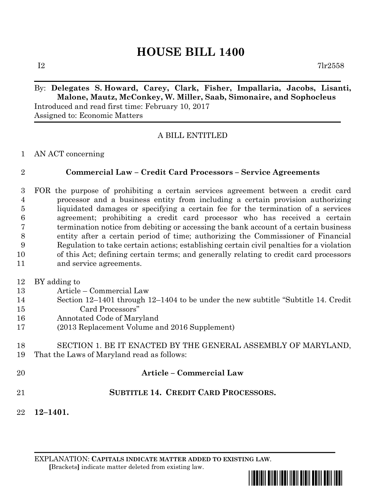# **HOUSE BILL 1400**

 $I2$  7lr2558

# By: **Delegates S. Howard, Carey, Clark, Fisher, Impallaria, Jacobs, Lisanti, Malone, Mautz, McConkey, W. Miller, Saab, Simonaire, and Sophocleus** Introduced and read first time: February 10, 2017

Assigned to: Economic Matters

# A BILL ENTITLED

AN ACT concerning

### **Commercial Law – Credit Card Processors – Service Agreements**

- FOR the purpose of prohibiting a certain services agreement between a credit card processor and a business entity from including a certain provision authorizing liquidated damages or specifying a certain fee for the termination of a services agreement; prohibiting a credit card processor who has received a certain termination notice from debiting or accessing the bank account of a certain business entity after a certain period of time; authorizing the Commissioner of Financial Regulation to take certain actions; establishing certain civil penalties for a violation of this Act; defining certain terms; and generally relating to credit card processors and service agreements.
- BY adding to
- Article Commercial Law
- Section 12–1401 through 12–1404 to be under the new subtitle "Subtitle 14. Credit Card Processors"
- Annotated Code of Maryland
- (2013 Replacement Volume and 2016 Supplement)

### SECTION 1. BE IT ENACTED BY THE GENERAL ASSEMBLY OF MARYLAND, That the Laws of Maryland read as follows:

- **Article – Commercial Law**
- **SUBTITLE 14. CREDIT CARD PROCESSORS.**
- **12–1401.**

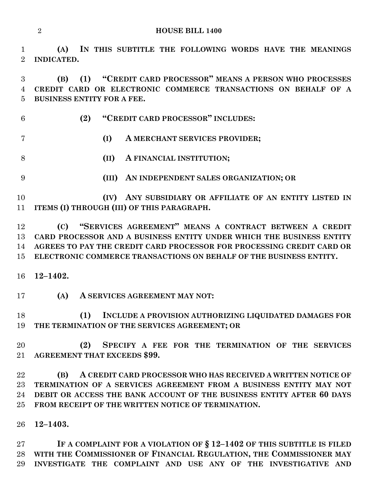**(A) IN THIS SUBTITLE THE FOLLOWING WORDS HAVE THE MEANINGS INDICATED.**

 **(B) (1) "CREDIT CARD PROCESSOR" MEANS A PERSON WHO PROCESSES CREDIT CARD OR ELECTRONIC COMMERCE TRANSACTIONS ON BEHALF OF A BUSINESS ENTITY FOR A FEE.**

**(2) "CREDIT CARD PROCESSOR" INCLUDES:**

- **(I) A MERCHANT SERVICES PROVIDER;**
- **(II) A FINANCIAL INSTITUTION;**
- 
- **(III) AN INDEPENDENT SALES ORGANIZATION; OR**

 **(IV) ANY SUBSIDIARY OR AFFILIATE OF AN ENTITY LISTED IN ITEMS (I) THROUGH (III) OF THIS PARAGRAPH.**

 **(C) "SERVICES AGREEMENT" MEANS A CONTRACT BETWEEN A CREDIT CARD PROCESSOR AND A BUSINESS ENTITY UNDER WHICH THE BUSINESS ENTITY AGREES TO PAY THE CREDIT CARD PROCESSOR FOR PROCESSING CREDIT CARD OR ELECTRONIC COMMERCE TRANSACTIONS ON BEHALF OF THE BUSINESS ENTITY.**

**12–1402.**

**(A) A SERVICES AGREEMENT MAY NOT:**

 **(1) INCLUDE A PROVISION AUTHORIZING LIQUIDATED DAMAGES FOR THE TERMINATION OF THE SERVICES AGREEMENT; OR**

 **(2) SPECIFY A FEE FOR THE TERMINATION OF THE SERVICES AGREEMENT THAT EXCEEDS \$99.**

 **(B) A CREDIT CARD PROCESSOR WHO HAS RECEIVED A WRITTEN NOTICE OF TERMINATION OF A SERVICES AGREEMENT FROM A BUSINESS ENTITY MAY NOT DEBIT OR ACCESS THE BANK ACCOUNT OF THE BUSINESS ENTITY AFTER 60 DAYS FROM RECEIPT OF THE WRITTEN NOTICE OF TERMINATION.**

### **12–1403.**

 **IF A COMPLAINT FOR A VIOLATION OF § 12–1402 OF THIS SUBTITLE IS FILED WITH THE COMMISSIONER OF FINANCIAL REGULATION, THE COMMISSIONER MAY INVESTIGATE THE COMPLAINT AND USE ANY OF THE INVESTIGATIVE AND**